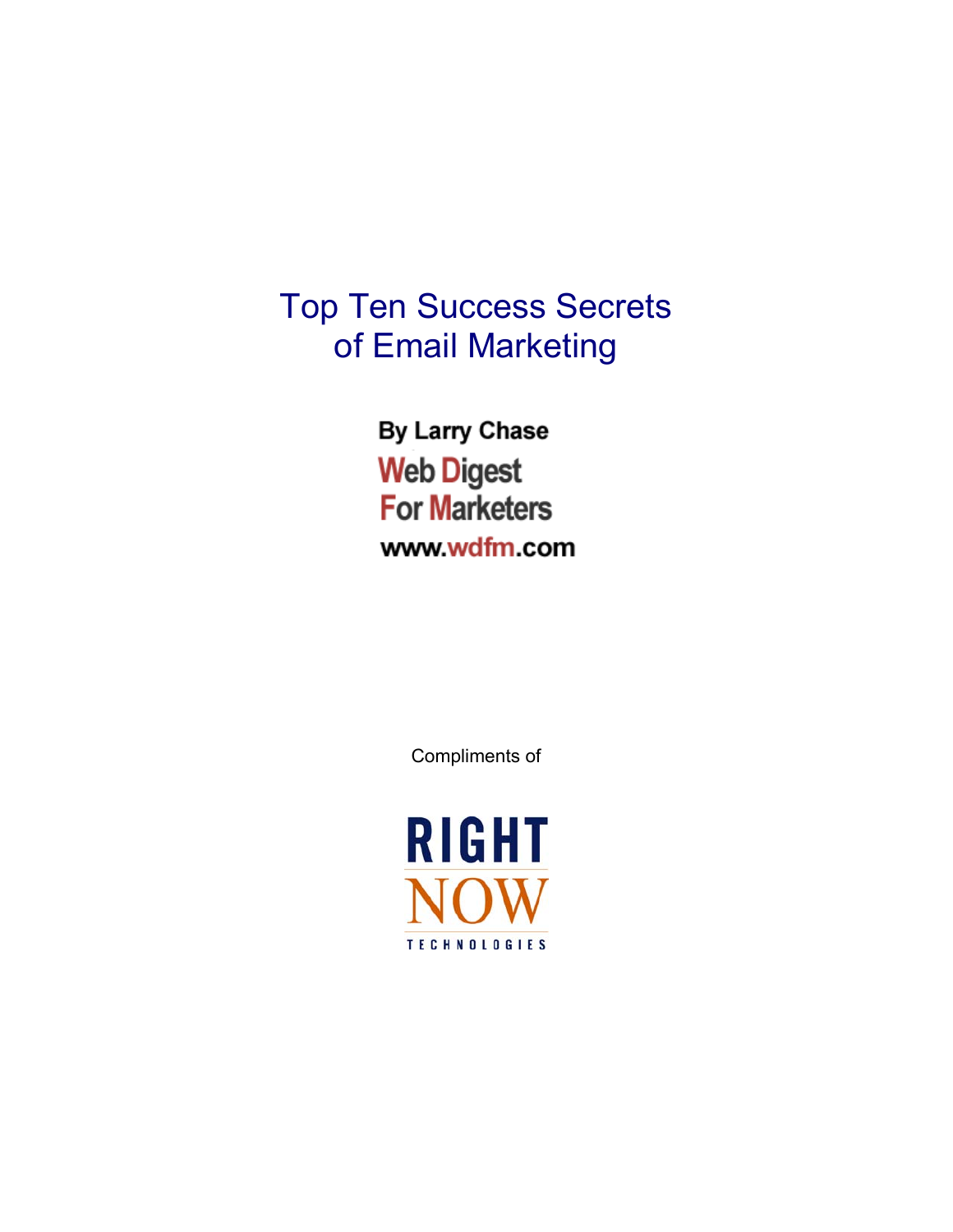# Top Ten Success Secrets of Email Marketing

**By Larry Chase Web Digest For Marketers** www.wdfm.com

Compliments of

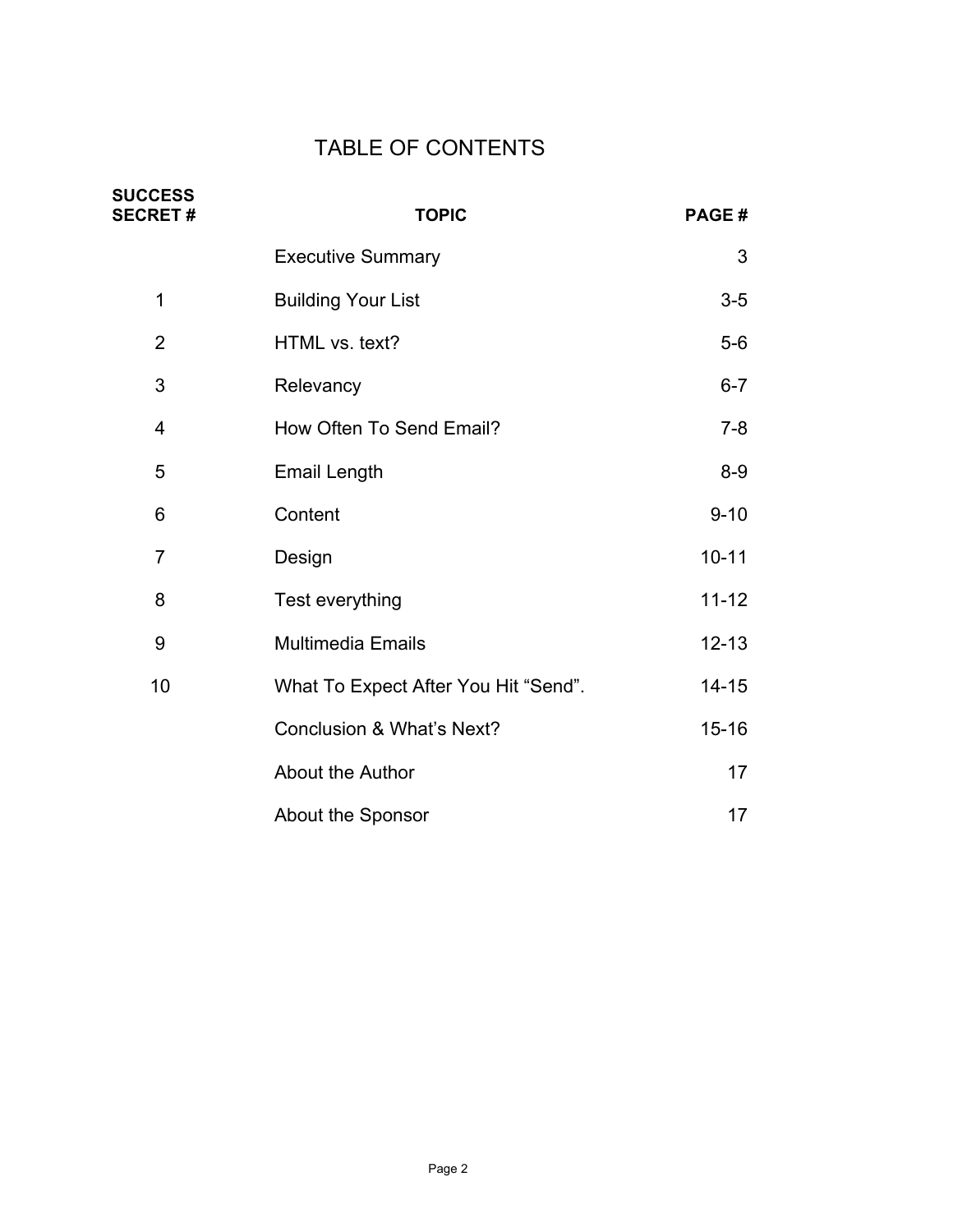# TABLE OF CONTENTS

| <b>SUCCESS</b><br><b>SECRET#</b> | <b>TOPIC</b>                         | PAGE#     |
|----------------------------------|--------------------------------------|-----------|
|                                  | <b>Executive Summary</b>             | 3         |
| 1                                | <b>Building Your List</b>            | $3-5$     |
| $\overline{2}$                   | HTML vs. text?                       | $5-6$     |
| 3                                | Relevancy                            | $6 - 7$   |
| 4                                | How Often To Send Email?             | $7 - 8$   |
| 5                                | <b>Email Length</b>                  | $8-9$     |
| 6                                | Content                              | $9 - 10$  |
| $\overline{7}$                   | Design                               | $10 - 11$ |
| 8                                | Test everything                      | $11 - 12$ |
| 9                                | Multimedia Emails                    | $12 - 13$ |
| 10                               | What To Expect After You Hit "Send". | $14 - 15$ |
|                                  | <b>Conclusion &amp; What's Next?</b> | $15 - 16$ |
|                                  | <b>About the Author</b>              | 17        |
|                                  | About the Sponsor                    | 17        |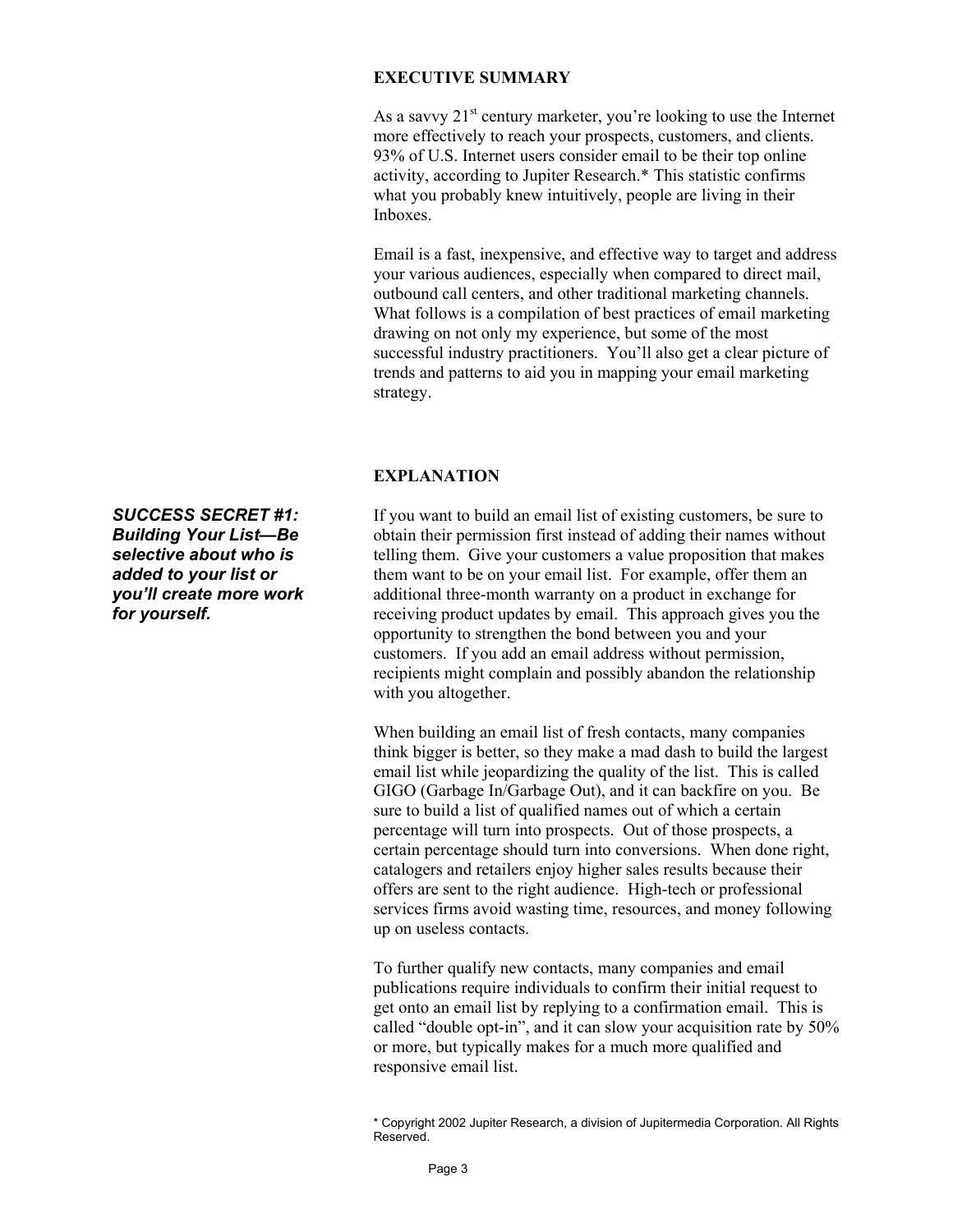#### **EXECUTIVE SUMMARY**

As a savvy  $21^{st}$  century marketer, you're looking to use the Internet more effectively to reach your prospects, customers, and clients. 93% of U.S. Internet users consider email to be their top online activity, according to Jupiter Research.\* This statistic confirms what you probably knew intuitively, people are living in their Inboxes.

Email is a fast, inexpensive, and effective way to target and address your various audiences, especially when compared to direct mail, outbound call centers, and other traditional marketing channels. What follows is a compilation of best practices of email marketing drawing on not only my experience, but some of the most successful industry practitioners. You'll also get a clear picture of trends and patterns to aid you in mapping your email marketing strategy.

#### **EXPLANATION**

If you want to build an email list of existing customers, be sure to obtain their permission first instead of adding their names without telling them. Give your customers a value proposition that makes them want to be on your email list. For example, offer them an additional three-month warranty on a product in exchange for receiving product updates by email. This approach gives you the opportunity to strengthen the bond between you and your customers. If you add an email address without permission, recipients might complain and possibly abandon the relationship with you altogether.

When building an email list of fresh contacts, many companies think bigger is better, so they make a mad dash to build the largest email list while jeopardizing the quality of the list. This is called GIGO (Garbage In/Garbage Out), and it can backfire on you. Be sure to build a list of qualified names out of which a certain percentage will turn into prospects. Out of those prospects, a certain percentage should turn into conversions. When done right, catalogers and retailers enjoy higher sales results because their offers are sent to the right audience. High-tech or professional services firms avoid wasting time, resources, and money following up on useless contacts.

To further qualify new contacts, many companies and email publications require individuals to confirm their initial request to get onto an email list by replying to a confirmation email. This is called "double opt-in", and it can slow your acquisition rate by 50% or more, but typically makes for a much more qualified and responsive email list.

*SUCCESS SECRET #1: Building Your List—Be selective about who is added to your list or you'll create more work for yourself.* 

<sup>\*</sup> Copyright 2002 Jupiter Research, a division of Jupitermedia Corporation. All Rights Reserved.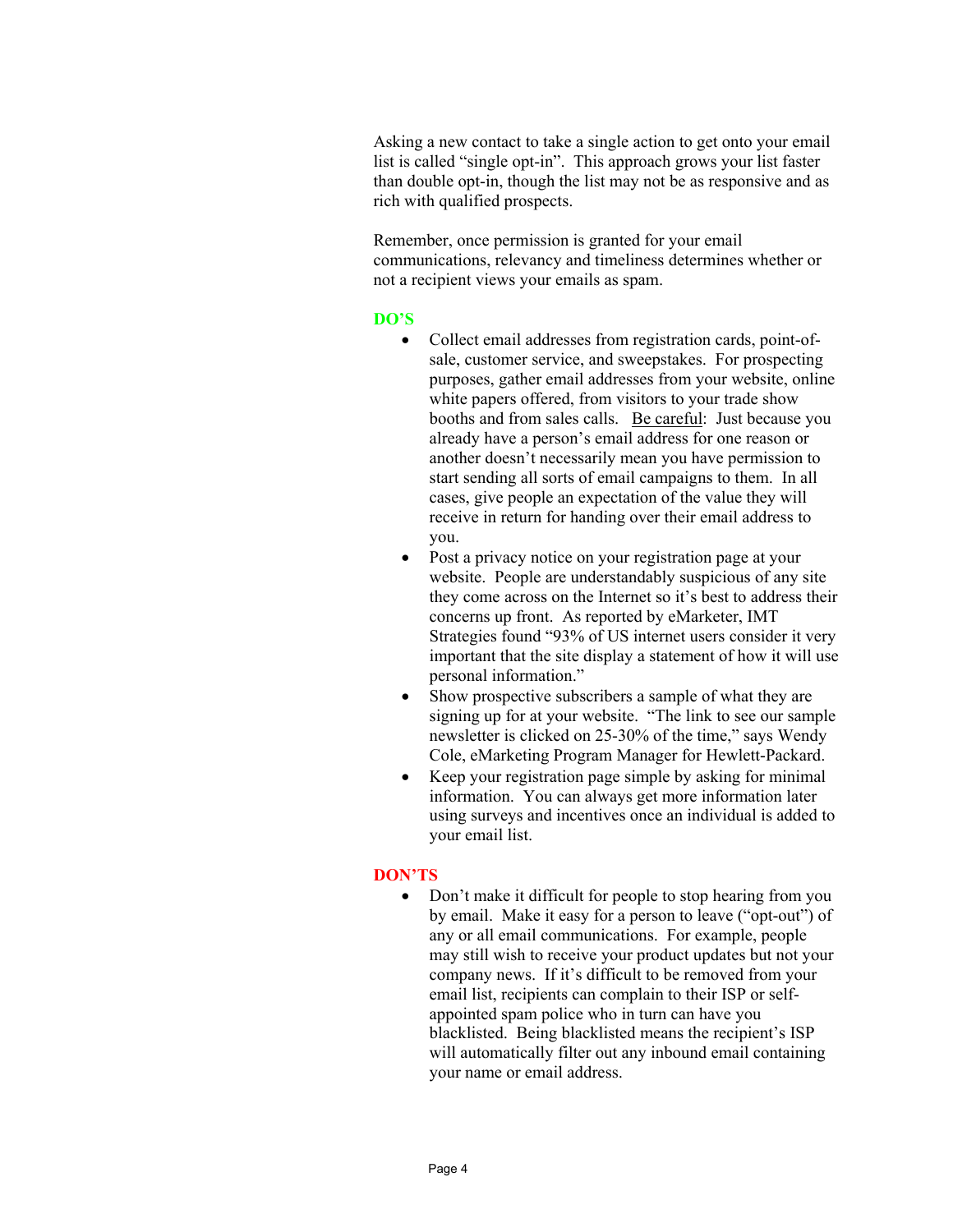Asking a new contact to take a single action to get onto your email list is called "single opt-in". This approach grows your list faster than double opt-in, though the list may not be as responsive and as rich with qualified prospects.

Remember, once permission is granted for your email communications, relevancy and timeliness determines whether or not a recipient views your emails as spam.

#### **DO'S**

- Collect email addresses from registration cards, point-ofsale, customer service, and sweepstakes. For prospecting purposes, gather email addresses from your website, online white papers offered, from visitors to your trade show booths and from sales calls. Be careful: Just because you already have a person's email address for one reason or another doesn't necessarily mean you have permission to start sending all sorts of email campaigns to them. In all cases, give people an expectation of the value they will receive in return for handing over their email address to you.
- Post a privacy notice on your registration page at your website. People are understandably suspicious of any site they come across on the Internet so it's best to address their concerns up front. As reported by eMarketer, IMT Strategies found "93% of US internet users consider it very important that the site display a statement of how it will use personal information."
- Show prospective subscribers a sample of what they are signing up for at your website. "The link to see our sample newsletter is clicked on 25-30% of the time," says Wendy Cole, eMarketing Program Manager for Hewlett-Packard.
- Keep your registration page simple by asking for minimal information. You can always get more information later using surveys and incentives once an individual is added to your email list.

#### **DON'TS**

• Don't make it difficult for people to stop hearing from you by email. Make it easy for a person to leave ("opt-out") of any or all email communications. For example, people may still wish to receive your product updates but not your company news. If it's difficult to be removed from your email list, recipients can complain to their ISP or selfappointed spam police who in turn can have you blacklisted. Being blacklisted means the recipient's ISP will automatically filter out any inbound email containing your name or email address.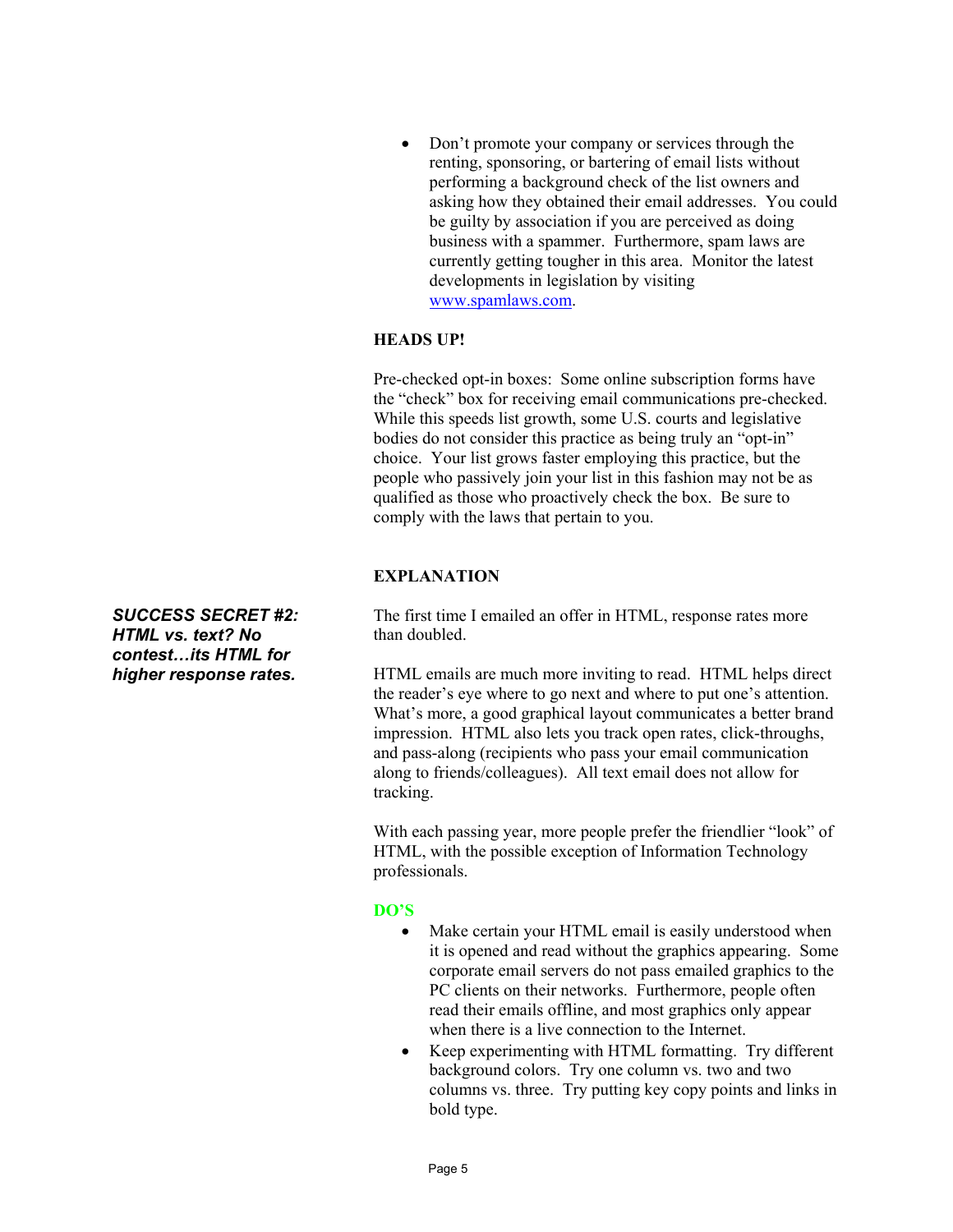• Don't promote your company or services through the renting, sponsoring, or bartering of email lists without performing a background check of the list owners and asking how they obtained their email addresses. You could be guilty by association if you are perceived as doing business with a spammer. Furthermore, spam laws are currently getting tougher in this area. Monitor the latest developments in legislation by visiting www.spamlaws.com.

#### **HEADS UP!**

Pre-checked opt-in boxes: Some online subscription forms have the "check" box for receiving email communications pre-checked. While this speeds list growth, some U.S. courts and legislative bodies do not consider this practice as being truly an "opt-in" choice. Your list grows faster employing this practice, but the people who passively join your list in this fashion may not be as qualified as those who proactively check the box. Be sure to comply with the laws that pertain to you.

#### **EXPLANATION**

The first time I emailed an offer in HTML, response rates more than doubled.

HTML emails are much more inviting to read. HTML helps direct the reader's eye where to go next and where to put one's attention. What's more, a good graphical layout communicates a better brand impression. HTML also lets you track open rates, click-throughs, and pass-along (recipients who pass your email communication along to friends/colleagues). All text email does not allow for tracking.

With each passing year, more people prefer the friendlier "look" of HTML, with the possible exception of Information Technology professionals.

#### **DO'S**

- Make certain your HTML email is easily understood when it is opened and read without the graphics appearing. Some corporate email servers do not pass emailed graphics to the PC clients on their networks. Furthermore, people often read their emails offline, and most graphics only appear when there is a live connection to the Internet.
- Keep experimenting with HTML formatting. Try different background colors. Try one column vs. two and two columns vs. three. Try putting key copy points and links in bold type.

*SUCCESS SECRET #2: HTML vs. text? No contest…its HTML for higher response rates.*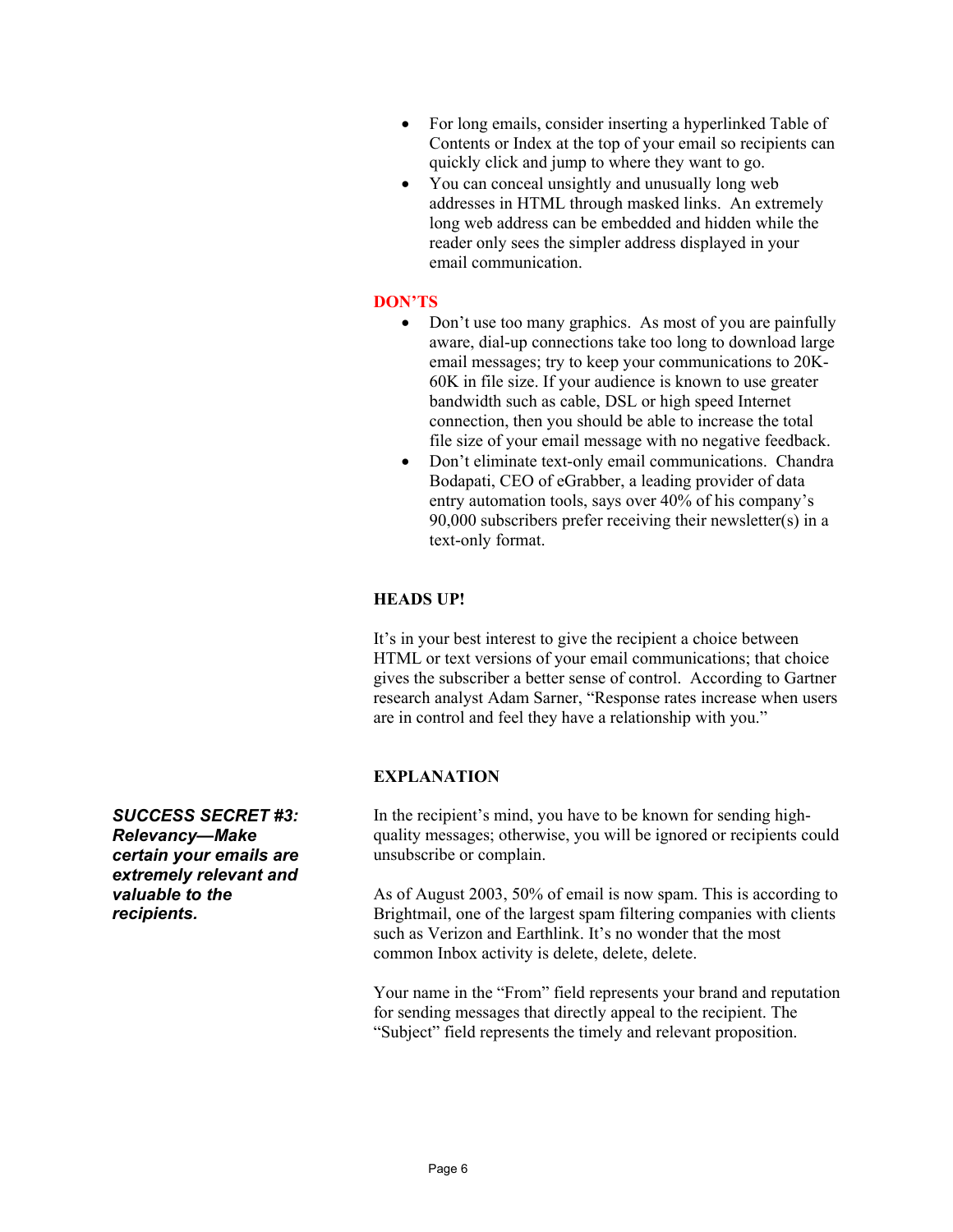- For long emails, consider inserting a hyperlinked Table of Contents or Index at the top of your email so recipients can quickly click and jump to where they want to go.
- You can conceal unsightly and unusually long web addresses in HTML through masked links. An extremely long web address can be embedded and hidden while the reader only sees the simpler address displayed in your email communication.

# **DON'TS**

- Don't use too many graphics. As most of you are painfully aware, dial-up connections take too long to download large email messages; try to keep your communications to 20K-60K in file size. If your audience is known to use greater bandwidth such as cable, DSL or high speed Internet connection, then you should be able to increase the total file size of your email message with no negative feedback.
- Don't eliminate text-only email communications. Chandra Bodapati, CEO of eGrabber, a leading provider of data entry automation tools, says over 40% of his company's 90,000 subscribers prefer receiving their newsletter(s) in a text-only format.

# **HEADS UP!**

It's in your best interest to give the recipient a choice between HTML or text versions of your email communications; that choice gives the subscriber a better sense of control. According to Gartner research analyst Adam Sarner, "Response rates increase when users are in control and feel they have a relationship with you."

#### **EXPLANATION**

In the recipient's mind, you have to be known for sending highquality messages; otherwise, you will be ignored or recipients could unsubscribe or complain.

As of August 2003, 50% of email is now spam. This is according to Brightmail, one of the largest spam filtering companies with clients such as Verizon and Earthlink. It's no wonder that the most common Inbox activity is delete, delete, delete.

Your name in the "From" field represents your brand and reputation for sending messages that directly appeal to the recipient. The "Subject" field represents the timely and relevant proposition.

*SUCCESS SECRET #3: Relevancy—Make certain your emails are extremely relevant and valuable to the recipients.*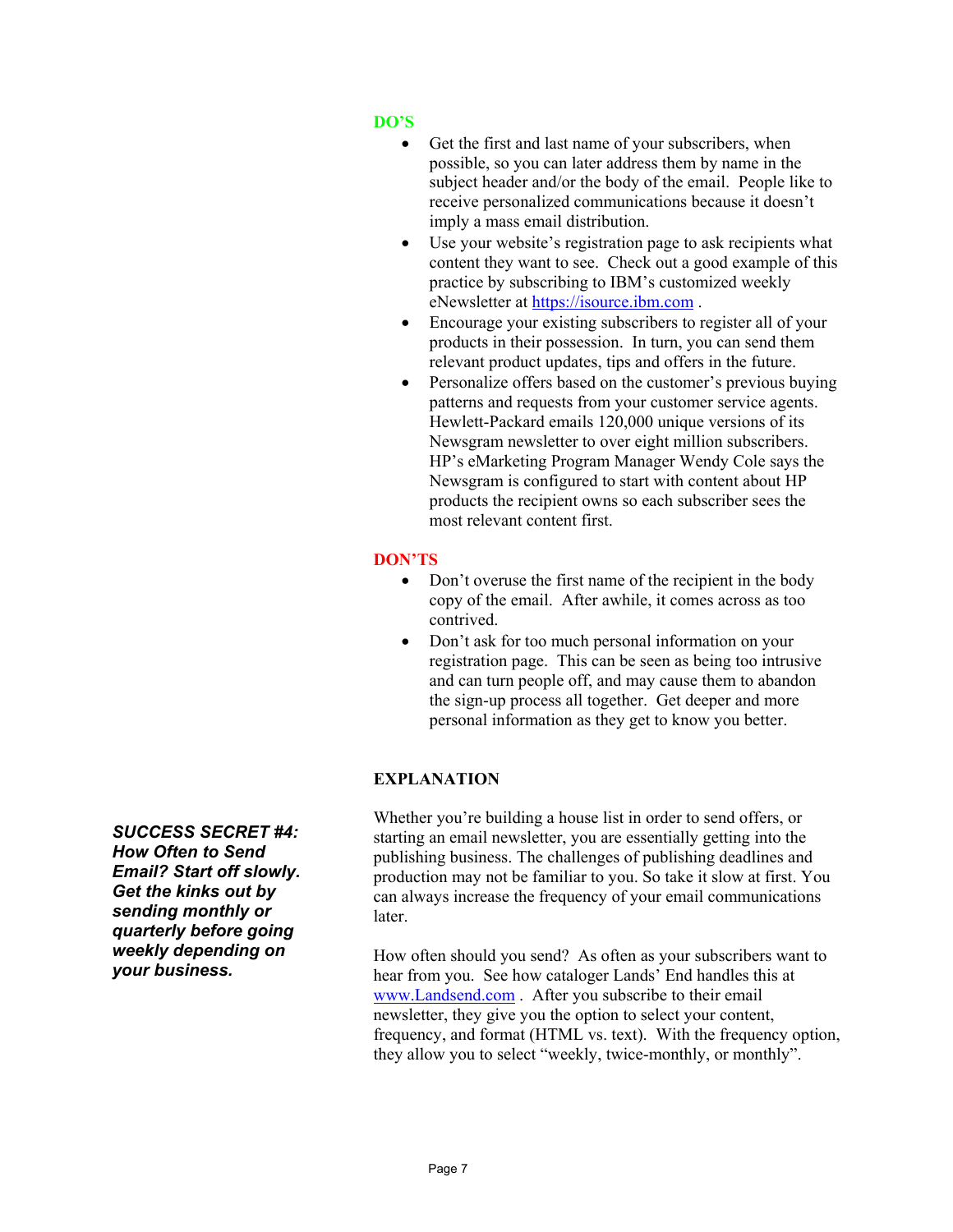# **DO'S**

- Get the first and last name of your subscribers, when possible, so you can later address them by name in the subject header and/or the body of the email. People like to receive personalized communications because it doesn't imply a mass email distribution.
- Use your website's registration page to ask recipients what content they want to see. Check out a good example of this practice by subscribing to IBM's customized weekly eNewsletter at https://isource.ibm.com .
- Encourage your existing subscribers to register all of your products in their possession. In turn, you can send them relevant product updates, tips and offers in the future.
- Personalize offers based on the customer's previous buying patterns and requests from your customer service agents. Hewlett-Packard emails 120,000 unique versions of its Newsgram newsletter to over eight million subscribers. HP's eMarketing Program Manager Wendy Cole says the Newsgram is configured to start with content about HP products the recipient owns so each subscriber sees the most relevant content first.

#### **DON'TS**

- Don't overuse the first name of the recipient in the body copy of the email. After awhile, it comes across as too contrived.
- Don't ask for too much personal information on your registration page. This can be seen as being too intrusive and can turn people off, and may cause them to abandon the sign-up process all together. Get deeper and more personal information as they get to know you better.

# **EXPLANATION**

Whether you're building a house list in order to send offers, or starting an email newsletter, you are essentially getting into the publishing business. The challenges of publishing deadlines and production may not be familiar to you. So take it slow at first. You can always increase the frequency of your email communications later.

How often should you send? As often as your subscribers want to hear from you. See how cataloger Lands' End handles this at www.Landsend.com . After you subscribe to their email newsletter, they give you the option to select your content, frequency, and format (HTML vs. text). With the frequency option, they allow you to select "weekly, twice-monthly, or monthly".

*SUCCESS SECRET #4: How Often to Send Email? Start off slowly. Get the kinks out by sending monthly or quarterly before going weekly depending on your business.*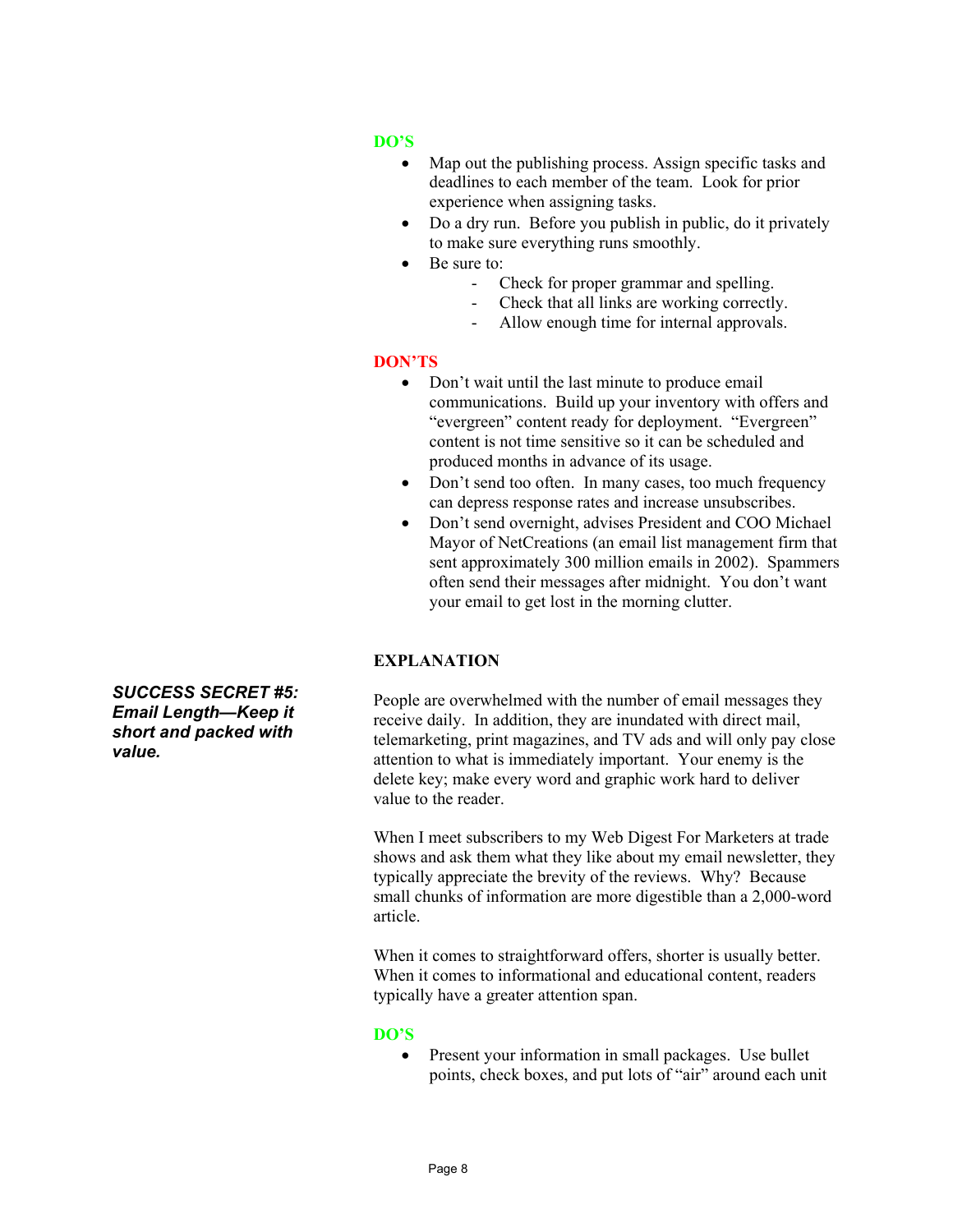# **DO'S**

- Map out the publishing process. Assign specific tasks and deadlines to each member of the team. Look for prior experience when assigning tasks.
- Do a dry run. Before you publish in public, do it privately to make sure everything runs smoothly.
- Be sure to:
	- Check for proper grammar and spelling.
	- Check that all links are working correctly.
	- Allow enough time for internal approvals.

#### **DON'TS**

- Don't wait until the last minute to produce email communications. Build up your inventory with offers and "evergreen" content ready for deployment. "Evergreen" content is not time sensitive so it can be scheduled and produced months in advance of its usage.
- Don't send too often. In many cases, too much frequency can depress response rates and increase unsubscribes.
- Don't send overnight, advises President and COO Michael Mayor of NetCreations (an email list management firm that sent approximately 300 million emails in 2002). Spammers often send their messages after midnight. You don't want your email to get lost in the morning clutter.

#### **EXPLANATION**

People are overwhelmed with the number of email messages they receive daily. In addition, they are inundated with direct mail, telemarketing, print magazines, and TV ads and will only pay close attention to what is immediately important. Your enemy is the delete key; make every word and graphic work hard to deliver value to the reader.

When I meet subscribers to my Web Digest For Marketers at trade shows and ask them what they like about my email newsletter, they typically appreciate the brevity of the reviews. Why? Because small chunks of information are more digestible than a 2,000-word article.

When it comes to straightforward offers, shorter is usually better. When it comes to informational and educational content, readers typically have a greater attention span.

#### **DO'S**

• Present your information in small packages. Use bullet points, check boxes, and put lots of "air" around each unit

*SUCCESS SECRET #5: Email Length—Keep it short and packed with value.*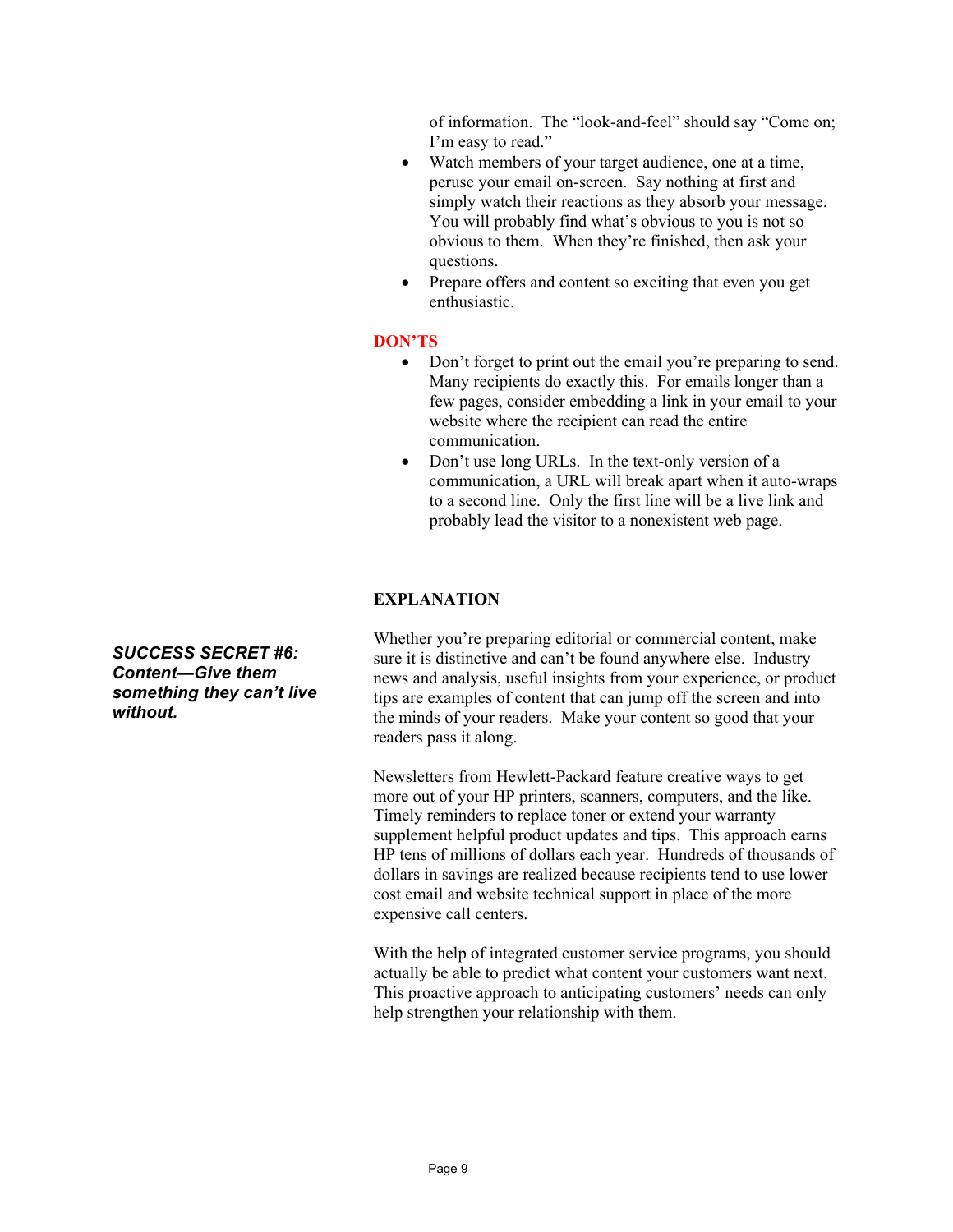of information. The "look-and-feel" should say "Come on; I'm easy to read."

- Watch members of your target audience, one at a time, peruse your email on-screen. Say nothing at first and simply watch their reactions as they absorb your message. You will probably find what's obvious to you is not so obvious to them. When they're finished, then ask your questions.
- Prepare offers and content so exciting that even you get enthusiastic.

#### **DON'TS**

- Don't forget to print out the email you're preparing to send. Many recipients do exactly this. For emails longer than a few pages, consider embedding a link in your email to your website where the recipient can read the entire communication.
- Don't use long URLs. In the text-only version of a communication, a URL will break apart when it auto-wraps to a second line. Only the first line will be a live link and probably lead the visitor to a nonexistent web page.

#### **EXPLANATION**

Whether you're preparing editorial or commercial content, make sure it is distinctive and can't be found anywhere else. Industry news and analysis, useful insights from your experience, or product tips are examples of content that can jump off the screen and into the minds of your readers. Make your content so good that your readers pass it along.

Newsletters from Hewlett-Packard feature creative ways to get more out of your HP printers, scanners, computers, and the like. Timely reminders to replace toner or extend your warranty supplement helpful product updates and tips. This approach earns HP tens of millions of dollars each year. Hundreds of thousands of dollars in savings are realized because recipients tend to use lower cost email and website technical support in place of the more expensive call centers.

With the help of integrated customer service programs, you should actually be able to predict what content your customers want next. This proactive approach to anticipating customers' needs can only help strengthen your relationship with them.

*SUCCESS SECRET #6: Content—Give them something they can't live without.*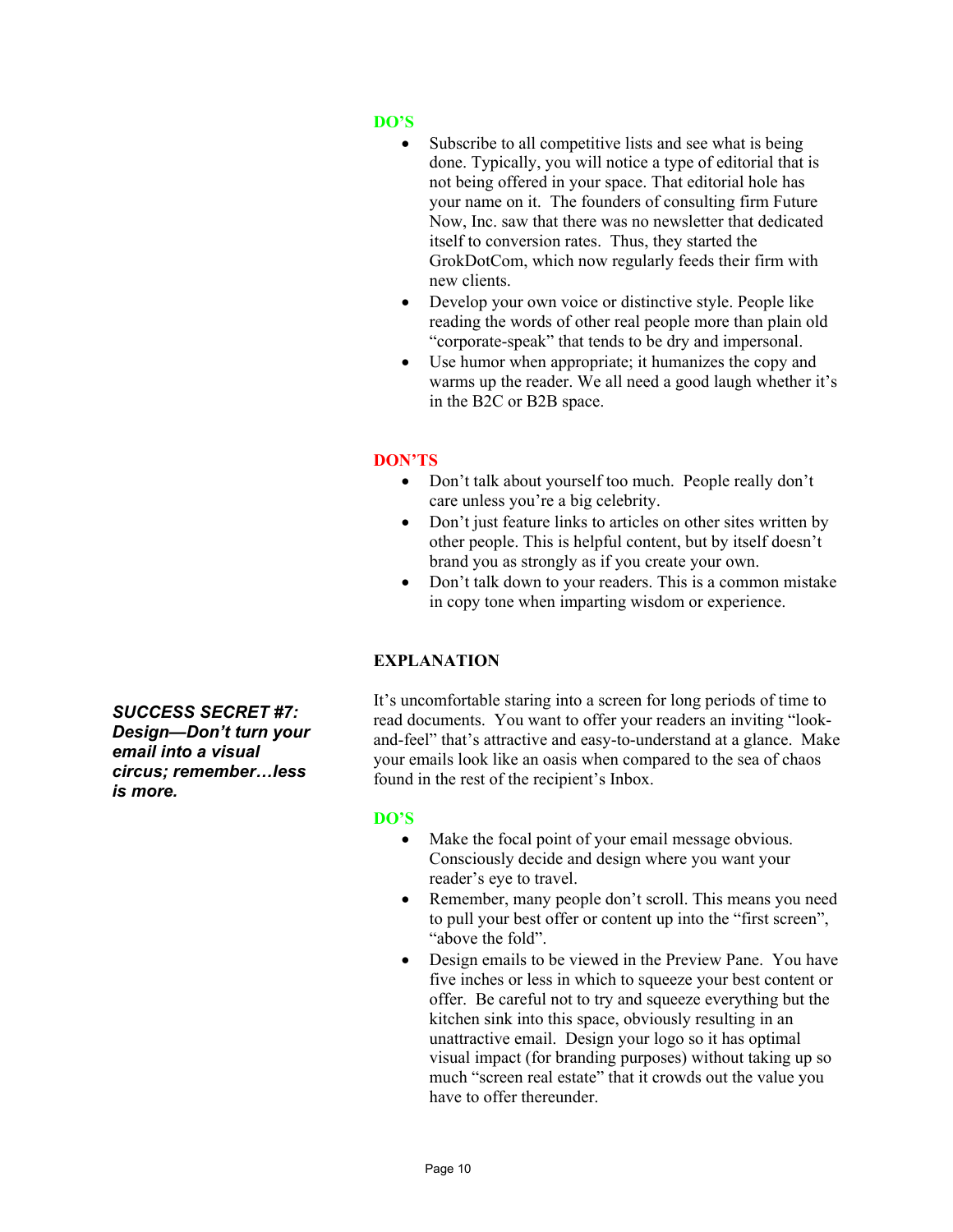# **DO'S**

- Subscribe to all competitive lists and see what is being done. Typically, you will notice a type of editorial that is not being offered in your space. That editorial hole has your name on it. The founders of consulting firm Future Now, Inc. saw that there was no newsletter that dedicated itself to conversion rates. Thus, they started the GrokDotCom, which now regularly feeds their firm with new clients.
- Develop your own voice or distinctive style. People like reading the words of other real people more than plain old "corporate-speak" that tends to be dry and impersonal.
- Use humor when appropriate; it humanizes the copy and warms up the reader. We all need a good laugh whether it's in the B2C or B2B space.

# **DON'TS**

- Don't talk about yourself too much. People really don't care unless you're a big celebrity.
- Don't just feature links to articles on other sites written by other people. This is helpful content, but by itself doesn't brand you as strongly as if you create your own.
- Don't talk down to your readers. This is a common mistake in copy tone when imparting wisdom or experience.

# **EXPLANATION**

It's uncomfortable staring into a screen for long periods of time to read documents. You want to offer your readers an inviting "lookand-feel" that's attractive and easy-to-understand at a glance. Make your emails look like an oasis when compared to the sea of chaos found in the rest of the recipient's Inbox.

#### **DO'S**

- Make the focal point of your email message obvious. Consciously decide and design where you want your reader's eye to travel.
- Remember, many people don't scroll. This means you need to pull your best offer or content up into the "first screen", "above the fold".
- Design emails to be viewed in the Preview Pane. You have five inches or less in which to squeeze your best content or offer. Be careful not to try and squeeze everything but the kitchen sink into this space, obviously resulting in an unattractive email. Design your logo so it has optimal visual impact (for branding purposes) without taking up so much "screen real estate" that it crowds out the value you have to offer thereunder.

*SUCCESS SECRET #7: Design—Don't turn your email into a visual circus; remember…less is more.*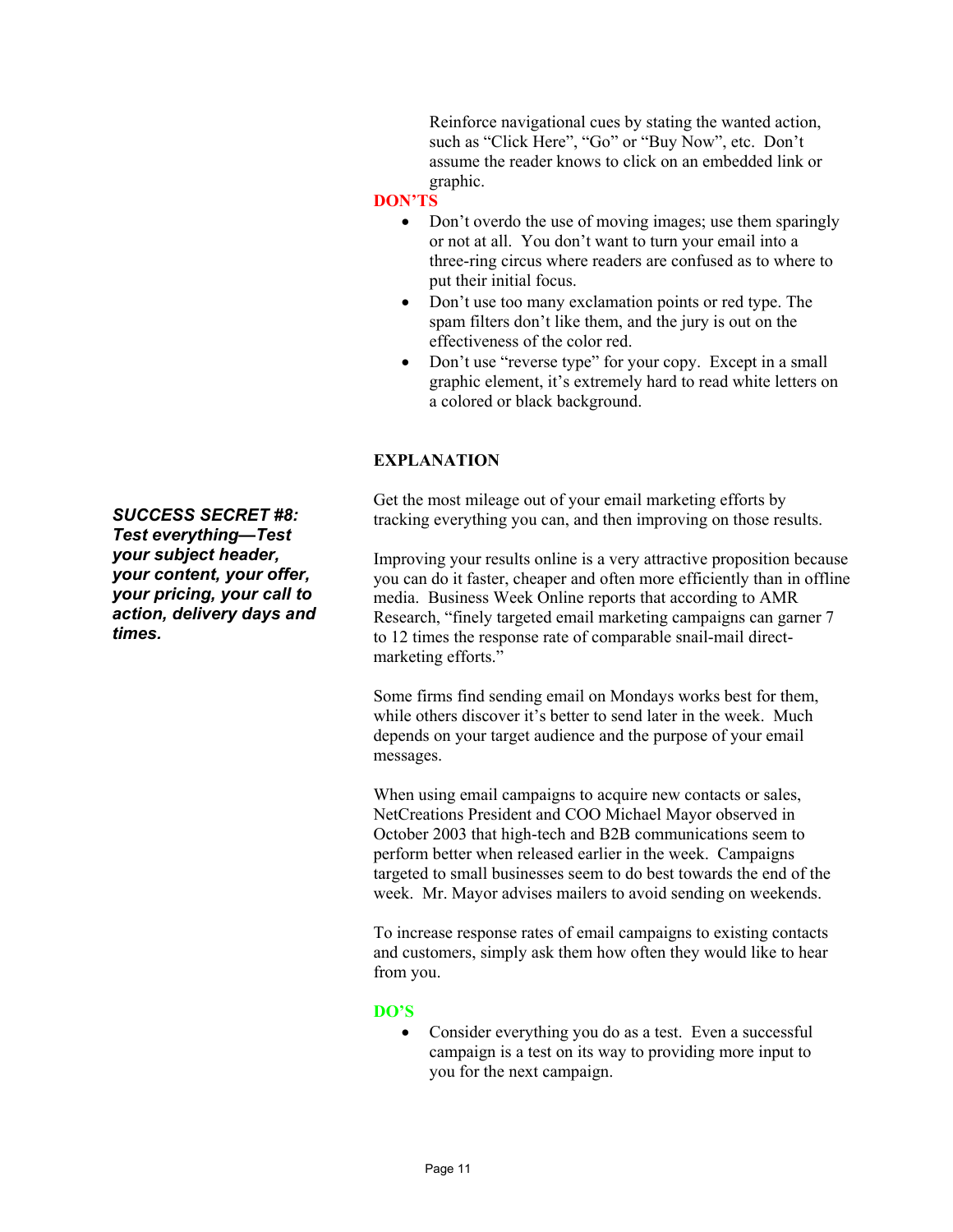Reinforce navigational cues by stating the wanted action, such as "Click Here", "Go" or "Buy Now", etc. Don't assume the reader knows to click on an embedded link or graphic.

#### **DON'TS**

- Don't overdo the use of moving images; use them sparingly or not at all. You don't want to turn your email into a three-ring circus where readers are confused as to where to put their initial focus.
- Don't use too many exclamation points or red type. The spam filters don't like them, and the jury is out on the effectiveness of the color red.
- Don't use "reverse type" for your copy. Except in a small graphic element, it's extremely hard to read white letters on a colored or black background.

# **EXPLANATION**

Get the most mileage out of your email marketing efforts by tracking everything you can, and then improving on those results.

Improving your results online is a very attractive proposition because you can do it faster, cheaper and often more efficiently than in offline media. Business Week Online reports that according to AMR Research, "finely targeted email marketing campaigns can garner 7 to 12 times the response rate of comparable snail-mail directmarketing efforts."

Some firms find sending email on Mondays works best for them, while others discover it's better to send later in the week. Much depends on your target audience and the purpose of your email messages.

When using email campaigns to acquire new contacts or sales, NetCreations President and COO Michael Mayor observed in October 2003 that high-tech and B2B communications seem to perform better when released earlier in the week. Campaigns targeted to small businesses seem to do best towards the end of the week. Mr. Mayor advises mailers to avoid sending on weekends.

To increase response rates of email campaigns to existing contacts and customers, simply ask them how often they would like to hear from you.

#### **DO'S**

• Consider everything you do as a test. Even a successful campaign is a test on its way to providing more input to you for the next campaign.

*SUCCESS SECRET #8: Test everything—Test your subject header, your content, your offer, your pricing, your call to action, delivery days and times.*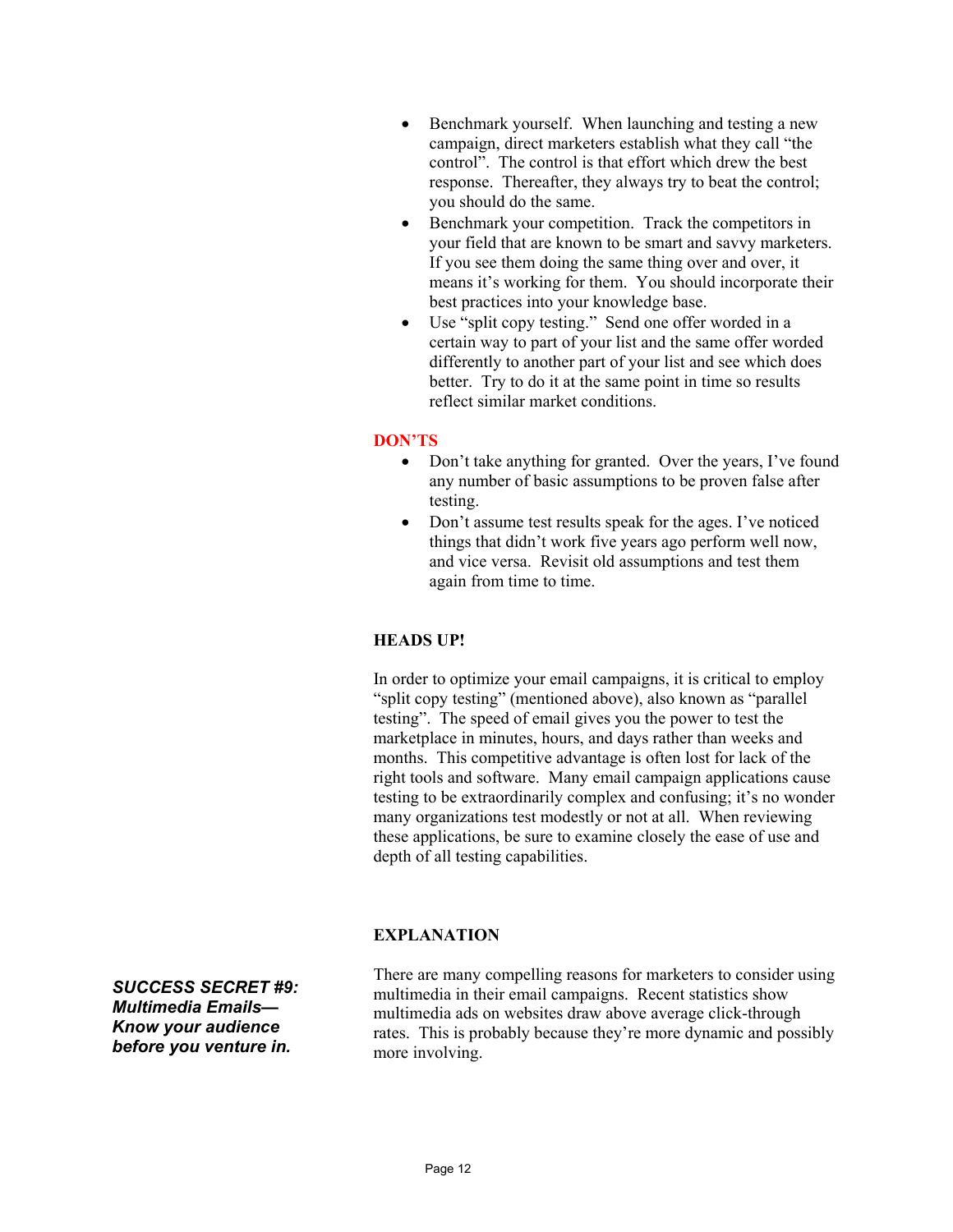- Benchmark yourself. When launching and testing a new campaign, direct marketers establish what they call "the control". The control is that effort which drew the best response. Thereafter, they always try to beat the control; you should do the same.
- Benchmark your competition. Track the competitors in your field that are known to be smart and savvy marketers. If you see them doing the same thing over and over, it means it's working for them. You should incorporate their best practices into your knowledge base.
- Use "split copy testing." Send one offer worded in a certain way to part of your list and the same offer worded differently to another part of your list and see which does better. Try to do it at the same point in time so results reflect similar market conditions.

#### **DON'TS**

- Don't take anything for granted. Over the years, I've found any number of basic assumptions to be proven false after testing.
- Don't assume test results speak for the ages. I've noticed things that didn't work five years ago perform well now, and vice versa. Revisit old assumptions and test them again from time to time.

# **HEADS UP!**

In order to optimize your email campaigns, it is critical to employ "split copy testing" (mentioned above), also known as "parallel testing". The speed of email gives you the power to test the marketplace in minutes, hours, and days rather than weeks and months. This competitive advantage is often lost for lack of the right tools and software. Many email campaign applications cause testing to be extraordinarily complex and confusing; it's no wonder many organizations test modestly or not at all. When reviewing these applications, be sure to examine closely the ease of use and depth of all testing capabilities.

#### **EXPLANATION**

*SUCCESS SECRET #9: Multimedia Emails— Know your audience before you venture in.* 

There are many compelling reasons for marketers to consider using multimedia in their email campaigns. Recent statistics show multimedia ads on websites draw above average click-through rates. This is probably because they're more dynamic and possibly more involving.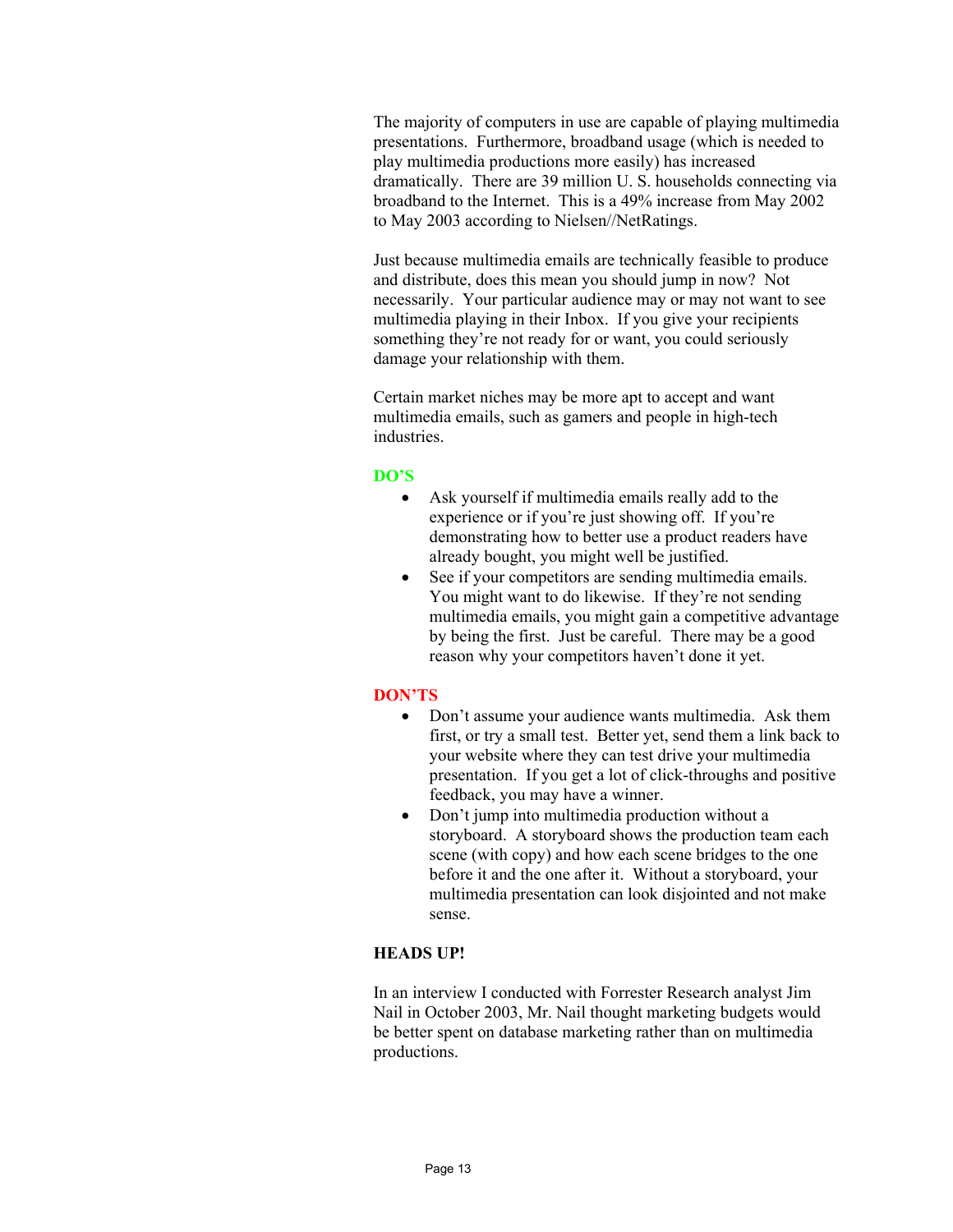The majority of computers in use are capable of playing multimedia presentations. Furthermore, broadband usage (which is needed to play multimedia productions more easily) has increased dramatically. There are 39 million U. S. households connecting via broadband to the Internet. This is a 49% increase from May 2002 to May 2003 according to Nielsen//NetRatings.

Just because multimedia emails are technically feasible to produce and distribute, does this mean you should jump in now? Not necessarily. Your particular audience may or may not want to see multimedia playing in their Inbox. If you give your recipients something they're not ready for or want, you could seriously damage your relationship with them.

Certain market niches may be more apt to accept and want multimedia emails, such as gamers and people in high-tech industries.

#### **DO'S**

- Ask yourself if multimedia emails really add to the experience or if you're just showing off. If you're demonstrating how to better use a product readers have already bought, you might well be justified.
- See if your competitors are sending multimedia emails. You might want to do likewise. If they're not sending multimedia emails, you might gain a competitive advantage by being the first. Just be careful. There may be a good reason why your competitors haven't done it yet.

#### **DON'TS**

- Don't assume your audience wants multimedia. Ask them first, or try a small test. Better yet, send them a link back to your website where they can test drive your multimedia presentation. If you get a lot of click-throughs and positive feedback, you may have a winner.
- Don't jump into multimedia production without a storyboard. A storyboard shows the production team each scene (with copy) and how each scene bridges to the one before it and the one after it. Without a storyboard, your multimedia presentation can look disjointed and not make sense.

#### **HEADS UP!**

In an interview I conducted with Forrester Research analyst Jim Nail in October 2003, Mr. Nail thought marketing budgets would be better spent on database marketing rather than on multimedia productions.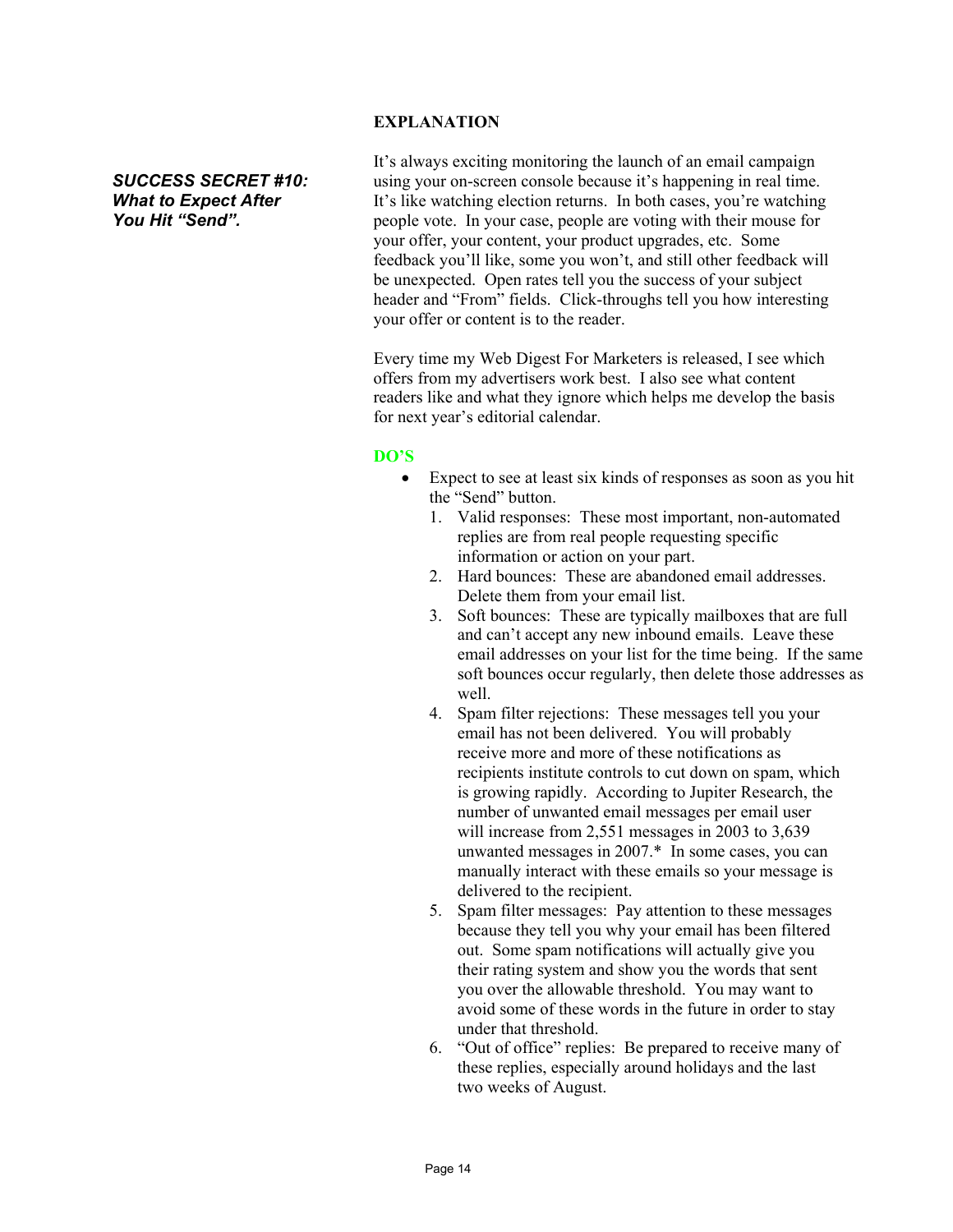## **EXPLANATION**

*SUCCESS SECRET #10: What to Expect After You Hit "Send".* 

It's always exciting monitoring the launch of an email campaign using your on-screen console because it's happening in real time. It's like watching election returns. In both cases, you're watching people vote. In your case, people are voting with their mouse for your offer, your content, your product upgrades, etc. Some feedback you'll like, some you won't, and still other feedback will be unexpected. Open rates tell you the success of your subject header and "From" fields. Click-throughs tell you how interesting your offer or content is to the reader.

Every time my Web Digest For Marketers is released, I see which offers from my advertisers work best. I also see what content readers like and what they ignore which helps me develop the basis for next year's editorial calendar.

#### **DO'S**

- Expect to see at least six kinds of responses as soon as you hit the "Send" button.
	- 1. Valid responses: These most important, non-automated replies are from real people requesting specific information or action on your part.
	- 2. Hard bounces: These are abandoned email addresses. Delete them from your email list.
	- 3. Soft bounces: These are typically mailboxes that are full and can't accept any new inbound emails. Leave these email addresses on your list for the time being. If the same soft bounces occur regularly, then delete those addresses as well.
	- 4. Spam filter rejections: These messages tell you your email has not been delivered. You will probably receive more and more of these notifications as recipients institute controls to cut down on spam, which is growing rapidly. According to Jupiter Research, the number of unwanted email messages per email user will increase from 2,551 messages in 2003 to 3,639 unwanted messages in 2007.\* In some cases, you can manually interact with these emails so your message is delivered to the recipient.
	- 5. Spam filter messages: Pay attention to these messages because they tell you why your email has been filtered out. Some spam notifications will actually give you their rating system and show you the words that sent you over the allowable threshold. You may want to avoid some of these words in the future in order to stay under that threshold.
	- 6. "Out of office" replies: Be prepared to receive many of these replies, especially around holidays and the last two weeks of August.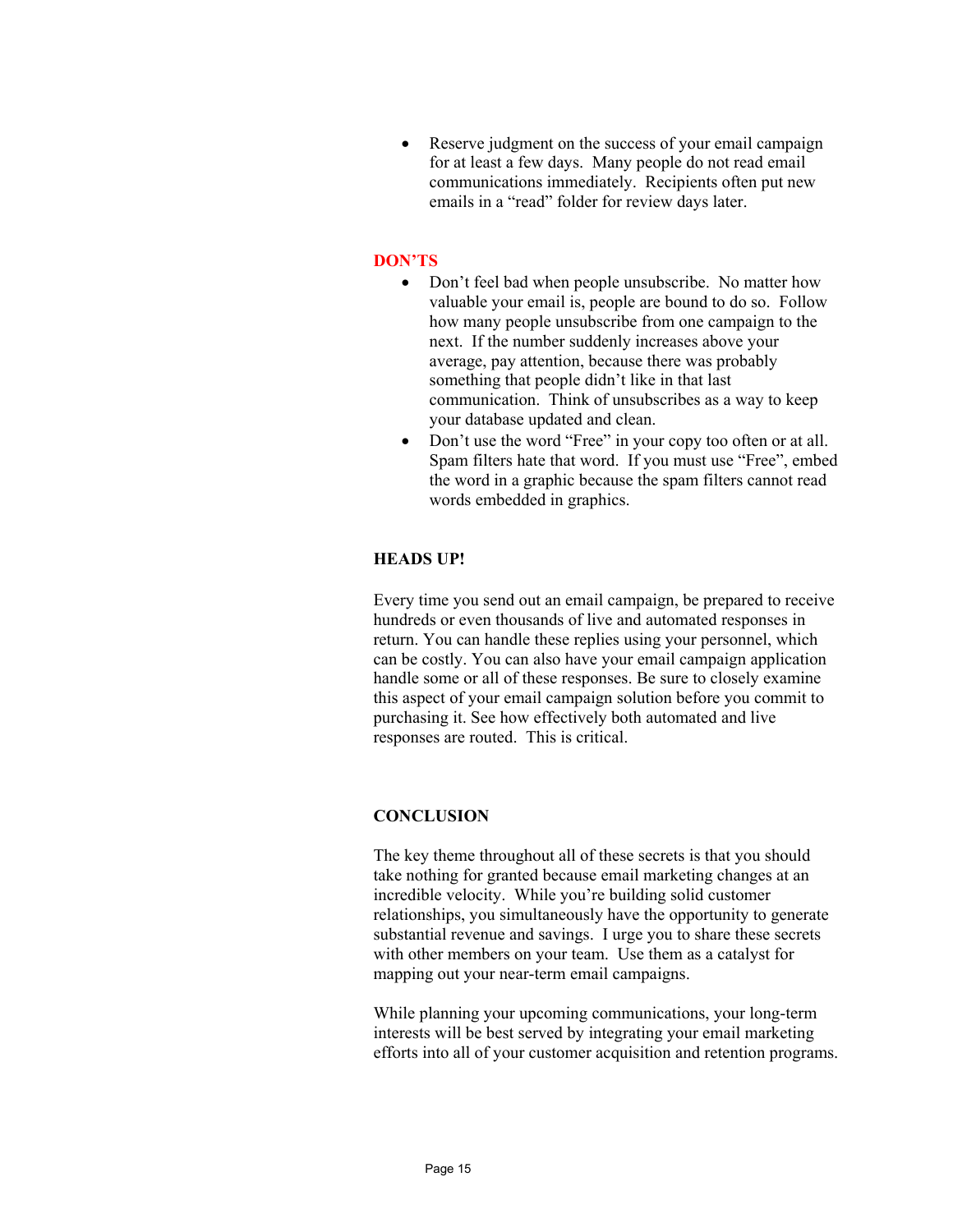• Reserve judgment on the success of your email campaign for at least a few days. Many people do not read email communications immediately. Recipients often put new emails in a "read" folder for review days later.

#### **DON'TS**

- Don't feel bad when people unsubscribe. No matter how valuable your email is, people are bound to do so. Follow how many people unsubscribe from one campaign to the next. If the number suddenly increases above your average, pay attention, because there was probably something that people didn't like in that last communication. Think of unsubscribes as a way to keep your database updated and clean.
- Don't use the word "Free" in your copy too often or at all. Spam filters hate that word. If you must use "Free", embed the word in a graphic because the spam filters cannot read words embedded in graphics.

#### **HEADS UP!**

Every time you send out an email campaign, be prepared to receive hundreds or even thousands of live and automated responses in return. You can handle these replies using your personnel, which can be costly. You can also have your email campaign application handle some or all of these responses. Be sure to closely examine this aspect of your email campaign solution before you commit to purchasing it. See how effectively both automated and live responses are routed. This is critical.

#### **CONCLUSION**

The key theme throughout all of these secrets is that you should take nothing for granted because email marketing changes at an incredible velocity. While you're building solid customer relationships, you simultaneously have the opportunity to generate substantial revenue and savings. I urge you to share these secrets with other members on your team. Use them as a catalyst for mapping out your near-term email campaigns.

While planning your upcoming communications, your long-term interests will be best served by integrating your email marketing efforts into all of your customer acquisition and retention programs.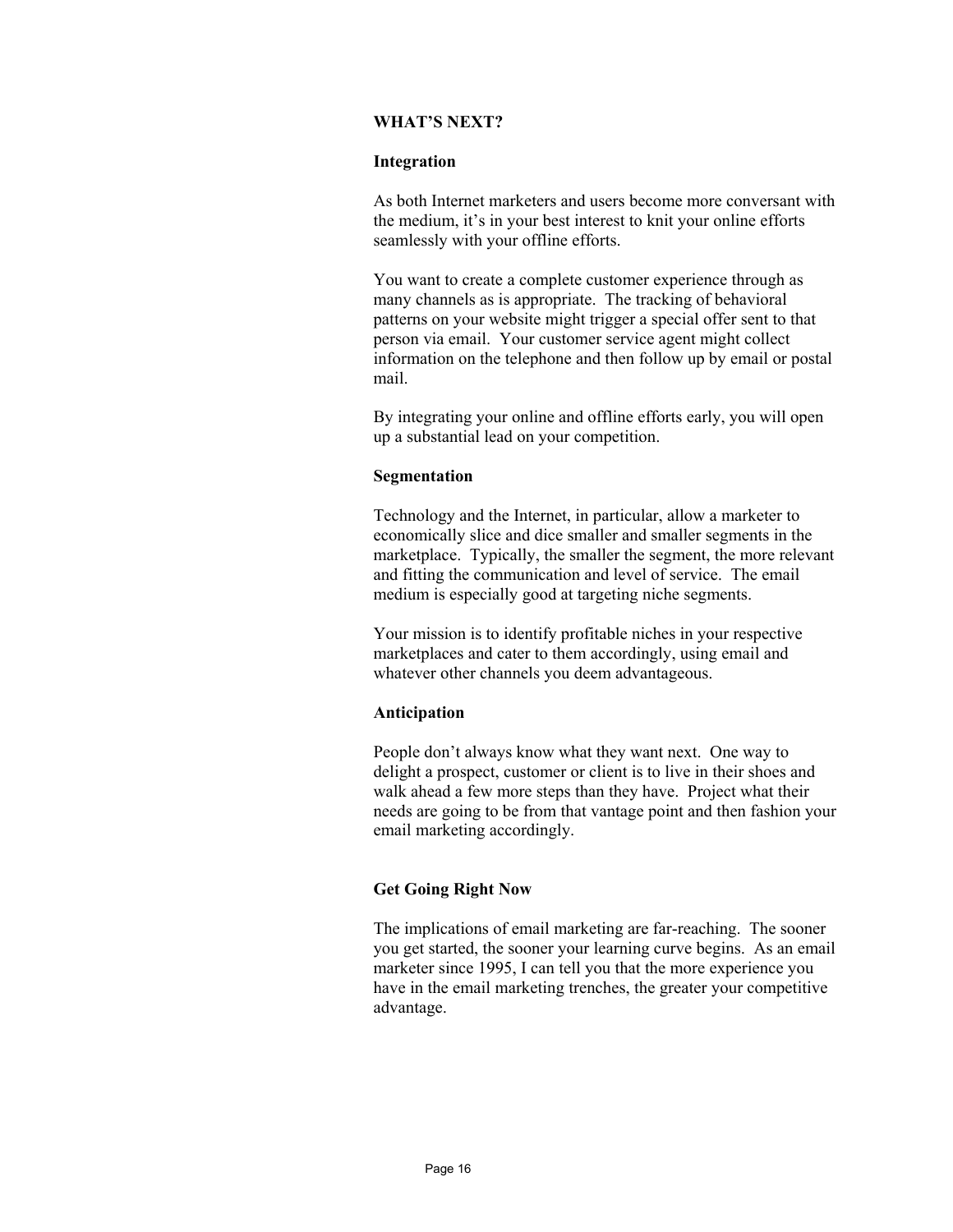#### **WHAT'S NEXT?**

#### **Integration**

As both Internet marketers and users become more conversant with the medium, it's in your best interest to knit your online efforts seamlessly with your offline efforts.

You want to create a complete customer experience through as many channels as is appropriate. The tracking of behavioral patterns on your website might trigger a special offer sent to that person via email. Your customer service agent might collect information on the telephone and then follow up by email or postal mail.

By integrating your online and offline efforts early, you will open up a substantial lead on your competition.

#### **Segmentation**

Technology and the Internet, in particular, allow a marketer to economically slice and dice smaller and smaller segments in the marketplace. Typically, the smaller the segment, the more relevant and fitting the communication and level of service. The email medium is especially good at targeting niche segments.

Your mission is to identify profitable niches in your respective marketplaces and cater to them accordingly, using email and whatever other channels you deem advantageous.

#### **Anticipation**

People don't always know what they want next. One way to delight a prospect, customer or client is to live in their shoes and walk ahead a few more steps than they have. Project what their needs are going to be from that vantage point and then fashion your email marketing accordingly.

#### **Get Going Right Now**

The implications of email marketing are far-reaching. The sooner you get started, the sooner your learning curve begins. As an email marketer since 1995, I can tell you that the more experience you have in the email marketing trenches, the greater your competitive advantage.